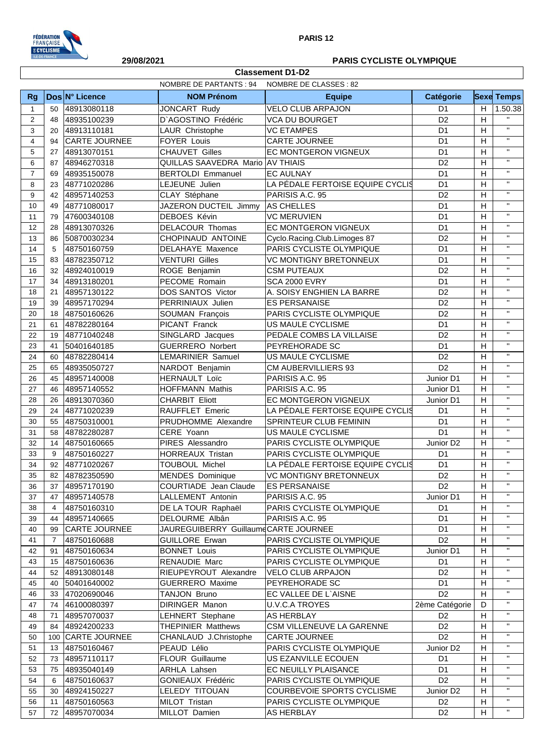

## **29/08/2021 PARIS CYCLISTE OLYMPIQUE**

|                | <b>Classement D1-D2</b> |                      |                                      |                                  |                       |    |                    |
|----------------|-------------------------|----------------------|--------------------------------------|----------------------------------|-----------------------|----|--------------------|
|                |                         |                      | <b>NOMBRE DE PARTANTS: 94</b>        | NOMBRE DE CLASSES : 82           |                       |    |                    |
| <b>Rg</b>      |                         | Dos N° Licence       | <b>NOM Prénom</b>                    | <b>Equipe</b>                    | Catégorie             |    | <b>Sexe Temps</b>  |
| $\mathbf{1}$   | 50                      | 48913080118          | <b>JONCART Rudy</b>                  | <b>VELO CLUB ARPAJON</b>         | D <sub>1</sub>        | H. | 1.50.38            |
| 2              | 48                      | 48935100239          | D'AGOSTINO Frédéric                  | <b>VCA DU BOURGET</b>            | D <sub>2</sub>        | H  |                    |
| 3              | 20                      | 48913110181          | LAUR Christophe                      | <b>VC ETAMPES</b>                | D <sub>1</sub>        | H  | $\mathbf{H}$       |
| $\overline{4}$ | 94                      | <b>CARTE JOURNEE</b> | <b>FOYER Louis</b>                   | CARTE JOURNEE                    | D <sub>1</sub>        | H  | $\mathbf{u}$       |
| 5              | 27                      | 48913070151          | <b>CHAUVET Gilles</b>                | EC MONTGERON VIGNEUX             | D <sub>1</sub>        | H  | $\mathbf{H}$       |
| 6              | 87                      | 48946270318          | QUILLAS SAAVEDRA Mario AV THIAIS     |                                  | D <sub>2</sub>        | H  | $\mathbf{H}$       |
| $\overline{7}$ | 69                      | 48935150078          | <b>BERTOLDI Emmanuel</b>             | <b>EC AULNAY</b>                 | D <sub>1</sub>        | H  | $\bar{\mathbf{u}}$ |
| 8              | 23                      | 48771020286          | LEJEUNE Julien                       | LA PÉDALE FERTOISE EQUIPE CYCLIS | D <sub>1</sub>        | H  | $\mathbf{H}$       |
| 9              | 42                      | 48957140253          | CLAY Stéphane                        | PARISIS A.C. 95                  | D <sub>2</sub>        | H  | $\mathbf{H}$       |
| 10             | 49                      | 48771080017          | JAZERON DUCTEIL Jimmy AS CHELLES     |                                  | D <sub>1</sub>        | H  | $\mathbf{H}$       |
| 11             | 79                      | 47600340108          | DEBOES Kévin                         | <b>VC MERUVIEN</b>               | D <sub>1</sub>        | H  | $\mathbf{H}$       |
| 12             | 28                      | 48913070326          | <b>DELACOUR Thomas</b>               | EC MONTGERON VIGNEUX             | D <sub>1</sub>        | H  | $\mathbf{H}$       |
| 13             | 86                      | 50870030234          | CHOPINAUD ANTOINE                    | Cyclo.Racing.Club.Limoges 87     | D <sub>2</sub>        | H  | $\mathbf{H}$       |
| 14             | 5                       | 48750160759          | DELAHAYE Maxence                     | PARIS CYCLISTE OLYMPIQUE         | D <sub>1</sub>        | H  | $\mathbf{H}$       |
| 15             | 83                      | 48782350712          | <b>VENTURI Gilles</b>                | <b>VC MONTIGNY BRETONNEUX</b>    | D <sub>1</sub>        | H  | $\mathbf{H}$       |
| 16             | 32                      | 48924010019          | ROGE Benjamin                        | <b>CSM PUTEAUX</b>               | D <sub>2</sub>        | H  | $\mathbf{H}$       |
| 17             | 34                      | 48913180201          | PECOME Romain                        | <b>SCA 2000 EVRY</b>             | D <sub>1</sub>        | H  | $\mathbf{H}$       |
| 18             | 21                      | 48957130122          | DOS SANTOS Victor                    | A. SOISY ENGHIEN LA BARRE        | D <sub>2</sub>        | H  | $\mathbf{H}$       |
| 19             | 39                      | 48957170294          | PERRINIAUX Julien                    | <b>ES PERSANAISE</b>             | D <sub>2</sub>        | н  | $\mathbf{H}$       |
| 20             | 18                      | 48750160626          | SOUMAN François                      | PARIS CYCLISTE OLYMPIQUE         | D <sub>2</sub>        | H  | $\mathbf{H}$       |
| 21             | 61                      | 48782280164          | PICANT Franck                        | US MAULE CYCLISME                | D <sub>1</sub>        | H  | $\mathbf{H}$       |
| 22             | 19                      | 48771040248          | SINGLARD Jacques                     | PEDALE COMBS LA VILLAISE         | D <sub>2</sub>        | H  | $\mathbf{u}$       |
| 23             | 41                      | 50401640185          | <b>GUERRERO Norbert</b>              | PEYREHORADE SC                   | D <sub>1</sub>        | H  | $\mathbf{H}$       |
| 24             | 60                      | 48782280414          | <b>LEMARINIER Samuel</b>             | US MAULE CYCLISME                | D <sub>2</sub>        | H  | $\mathbf{H}$       |
| 25             | 65                      | 48935050727          | NARDOT Benjamin                      | <b>CM AUBERVILLIERS 93</b>       | D <sub>2</sub>        | H  | $\mathbf{H}$       |
| 26             | 45                      | 48957140008          | <b>HERNAULT Loïc</b>                 | PARISIS A.C. 95                  | Junior D1             | н  | $\mathbf{H}$       |
| 27             | 46                      | 48957140552          | <b>HOFFMANN Mathis</b>               | PARISIS A.C. 95                  | Junior D1             | H  | $\mathbf{H}$       |
| 28             | 26                      | 48913070360          | <b>CHARBIT Eliott</b>                | EC MONTGERON VIGNEUX             | Junior D1             | H  | $\mathbf{H}$       |
| 29             | 24                      | 48771020239          | RAUFFLET Emeric                      | LA PÉDALE FERTOISE EQUIPE CYCLIS | D <sub>1</sub>        | H  | $\mathbf{H}$       |
| 30             | 55                      | 48750310001          | PRUDHOMME Alexandre                  | SPRINTEUR CLUB FEMININ           | D <sub>1</sub>        | H  | $\mathbf{H}$       |
| 31             | 58                      | 48782280287          | CERE Yoann                           | US MAULE CYCLISME                | D <sub>1</sub>        | H  | $\mathbf{H}$       |
| 32             | 14                      | 48750160665          | PIRES Alessandro                     | PARIS CYCLISTE OLYMPIQUE         | Junior D <sub>2</sub> | H  | $\mathbf{H}$       |
| 33             | 9                       | 48750160227          | HORREAUX Tristan                     | PARIS CYCLISTE OLYMPIQUE         | D <sub>1</sub>        | н  | $\mathbf{H}$       |
| 34             |                         | 92 48771020267       | <b>TOUBOUL Michel</b>                | LA PÉDALE FERTOISE EQUIPE CYCLIS | D <sub>1</sub>        | H  | $\mathbf{H}$       |
| 35             | 82                      | 48782350590          | <b>MENDES</b> Dominique              | <b>VC MONTIGNY BRETONNEUX</b>    | D <sub>2</sub>        | н  | $\mathbf{H}$       |
| 36             | 37                      | 48957170190          | COURTIADE Jean Claude                | <b>ES PERSANAISE</b>             | D <sub>2</sub>        | H  | $\mathbf{H}$       |
| 37             | 47                      | 48957140578          | LALLEMENT Antonin                    | PARISIS A.C. 95                  | Junior D1             | H  | $\mathbf{H}$       |
| 38             | 4                       | 48750160310          | DE LA TOUR Raphaël                   | PARIS CYCLISTE OLYMPIQUE         | D <sub>1</sub>        | н  | $\mathbf{H}$       |
| 39             | 44                      | 48957140665          | DELOURME Albân                       | PARISIS A.C. 95                  | D <sub>1</sub>        | н  | $\mathbf{H}$       |
| 40             | 99                      | CARTE JOURNEE        | JAUREGUIBERRY GuillaumeCARTE JOURNEE |                                  | D <sub>1</sub>        | H  | $\mathbf{H}$       |
| 41             | $\overline{7}$          | 48750160688          | <b>GUILLORE Erwan</b>                | PARIS CYCLISTE OLYMPIQUE         | D <sub>2</sub>        | н  | $\mathbf{H}$       |
| 42             | 91                      | 48750160634          | <b>BONNET Louis</b>                  | PARIS CYCLISTE OLYMPIQUE         | Junior D1             | H  | $\mathbf{H}$       |
| 43             | 15                      | 48750160636          | RENAUDIE Marc                        | PARIS CYCLISTE OLYMPIQUE         | D <sub>1</sub>        | H  | $\mathbf{H}$       |
| 44             | 52                      | 48913080148          | RIEUPEYROUT Alexandre                | <b>VELO CLUB ARPAJON</b>         | D <sub>2</sub>        | н  | $\mathbf{H}$       |
| 45             | 40                      | 50401640002          | <b>GUERRERO Maxime</b>               | PEYREHORADE SC                   | D <sub>1</sub>        | H  | $\mathbf{H}$       |
| 46             | 33                      | 47020690046          | TANJON Bruno                         | EC VALLEE DE L'AISNE             | D <sub>2</sub>        | н  | $\mathbf{H}$       |
| 47             | 74                      | 46100080397          | DIRINGER Manon                       | U.V.C.A TROYES                   | 2ème Catégorie        | D  | $\mathbf{H}$       |
| 48             | 71                      | 48957070037          | <b>LEHNERT Stephane</b>              | AS HERBLAY                       | D <sub>2</sub>        | н  | $\mathbf{H}$       |
| 49             | 84                      | 48924200233          | <b>THEPINIER Matthews</b>            | CSM VILLENEUVE LA GARENNE        | D <sub>2</sub>        | H  | $\mathbf{H}$       |
| 50             |                         | 100 CARTE JOURNEE    | CHANLAUD J.Christophe                | <b>CARTE JOURNEE</b>             | D <sub>2</sub>        | H  | $\mathbf{H}$       |
| 51             | 13                      | 48750160467          | PEAUD Lélio                          | PARIS CYCLISTE OLYMPIQUE         | Junior D <sub>2</sub> | н  | $\mathbf{H}$       |
| 52             | 73                      | 48957110117          | FLOUR Guillaume                      | US EZANVILLE ECOUEN              | D <sub>1</sub>        | H  | $\mathbf{H}$       |
| 53             | 75                      | 48935040149          | ARHLA Lahsen                         | EC NEUILLY PLAISANCE             | D <sub>1</sub>        | H  | $\mathbf{H}$       |
| 54             | 6                       | 48750160637          | GONIEAUX Frédéric                    | PARIS CYCLISTE OLYMPIQUE         | D <sub>2</sub>        | H  | $\mathbf{H}$       |
| 55             | 30                      | 48924150227          | LELEDY TITOUAN                       | COURBEVOIE SPORTS CYCLISME       | Junior D <sub>2</sub> | н  | $\mathbf{H}$       |
| 56             | 11                      | 48750160563          | MILOT Tristan                        | PARIS CYCLISTE OLYMPIQUE         | D <sub>2</sub>        | H  | $\mathbf{H}$       |
| 57             | 72                      | 48957070034          | MILLOT Damien                        | <b>AS HERBLAY</b>                | D <sub>2</sub>        | H  | $\mathbf{H}$       |
|                |                         |                      |                                      |                                  |                       |    |                    |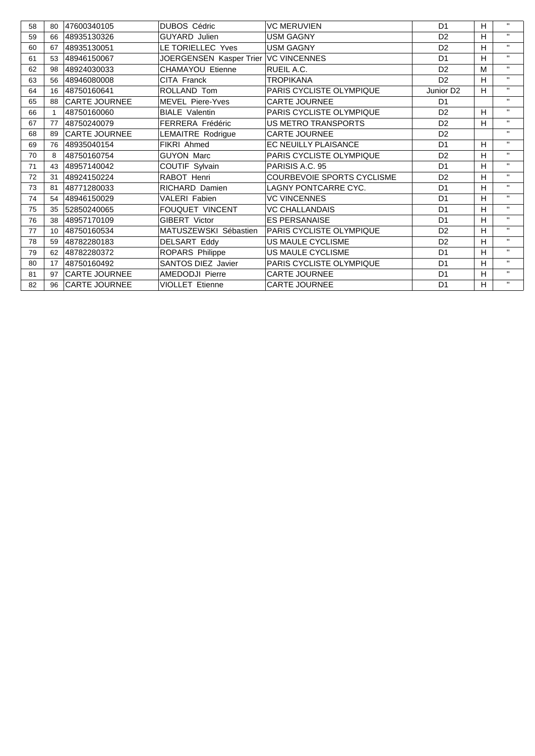| 58 | 80              | 47600340105          | <b>DUBOS Cédric</b>     | <b>VC MERUVIEN</b>              | D <sub>1</sub>        | H | $\mathbf{H}$ |
|----|-----------------|----------------------|-------------------------|---------------------------------|-----------------------|---|--------------|
| 59 | 66              | 48935130326          | <b>GUYARD Julien</b>    | <b>USM GAGNY</b>                | D <sub>2</sub>        | н | $\mathbf{H}$ |
| 60 | 67              | 48935130051          | LE TORIELLEC Yves       | <b>USM GAGNY</b>                | D <sub>2</sub>        | н | $\mathbf{H}$ |
| 61 | 53              | 48946150067          | JOERGENSEN Kasper Trier | <b>VC VINCENNES</b>             | D <sub>1</sub>        | н | $\mathbf{H}$ |
| 62 | 98              | 48924030033          | CHAMAYOU Etienne        | RUEIL A.C.                      | D <sub>2</sub>        | M | $\mathbf{H}$ |
| 63 | 56              | 48946080008          | CITA Franck             | <b>TROPIKANA</b>                | D <sub>2</sub>        | H | $\mathbf{H}$ |
| 64 | 16              | 48750160641          | ROLLAND Tom             | PARIS CYCLISTE OLYMPIQUE        | Junior D <sub>2</sub> | H | $\mathbf{H}$ |
| 65 | 88              | <b>CARTE JOURNEE</b> | <b>MEVEL Piere-Yves</b> | <b>CARTE JOURNEE</b>            | D <sub>1</sub>        |   | $\mathbf{H}$ |
| 66 |                 | 48750160060          | <b>BIALE Valentin</b>   | PARIS CYCLISTE OLYMPIQUE        | D <sub>2</sub>        | H | $\mathbf{H}$ |
| 67 | 77              | 48750240079          | FERRERA Frédéric        | <b>US METRO TRANSPORTS</b>      | D <sub>2</sub>        | H | $\mathbf{H}$ |
| 68 | 89              | <b>CARTE JOURNEE</b> | LEMAITRE Rodrigue       | <b>CARTE JOURNEE</b>            | D <sub>2</sub>        |   | $\mathbf{H}$ |
| 69 | 76              | 48935040154          | <b>FIKRI Ahmed</b>      | <b>EC NEUILLY PLAISANCE</b>     | D <sub>1</sub>        | H | $\mathbf{H}$ |
| 70 | 8               | 48750160754          | <b>GUYON Marc</b>       | <b>PARIS CYCLISTE OLYMPIQUE</b> | D <sub>2</sub>        | н | $\mathbf{H}$ |
| 71 | 43              | 48957140042          | COUTIF Sylvain          | PARISIS A.C. 95                 | D <sub>1</sub>        | H | $\mathbf{H}$ |
| 72 | 31              | 48924150224          | RABOT Henri             | COURBEVOIE SPORTS CYCLISME      | D <sub>2</sub>        | H | $\mathbf{H}$ |
| 73 | 81              | 48771280033          | RICHARD Damien          | LAGNY PONTCARRE CYC.            | D <sub>1</sub>        | H | $\mathbf{H}$ |
| 74 | 54              | 48946150029          | <b>VALERI Fabien</b>    | <b>VC VINCENNES</b>             | D <sub>1</sub>        | H | $\mathbf{H}$ |
| 75 | 35              | 52850240065          | <b>FOUQUET VINCENT</b>  | <b>VC CHALLANDAIS</b>           | D <sub>1</sub>        | H | $\mathbf{H}$ |
| 76 | 38              | 48957170109          | GIBERT Victor           | <b>ES PERSANAISE</b>            | D <sub>1</sub>        | H | $\mathbf{H}$ |
| 77 | 10 <sup>1</sup> | 48750160534          | MATUSZEWSKI Sébastien   | PARIS CYCLISTE OLYMPIQUE        | D <sub>2</sub>        | H | $\mathbf{H}$ |
| 78 | 59              | 48782280183          | <b>DELSART Eddy</b>     | US MAULE CYCLISME               | D <sub>2</sub>        | H | $\mathbf{H}$ |
| 79 | 62              | 48782280372          | ROPARS Philippe         | US MAULE CYCLISME               | D <sub>1</sub>        | H | $\mathbf{H}$ |
| 80 | 17              | 48750160492          | SANTOS DIEZ Javier      | PARIS CYCLISTE OLYMPIQUE        | D <sub>1</sub>        | H | $\mathbf{H}$ |
| 81 | 97              | <b>CARTE JOURNEE</b> | AMEDODJI Pierre         | <b>CARTE JOURNEE</b>            | D <sub>1</sub>        | H | $\mathbf{H}$ |
| 82 |                 | 96 CARTE JOURNEE     | <b>VIOLLET Etienne</b>  | <b>CARTE JOURNEE</b>            | D <sub>1</sub>        | H | $\mathbf{H}$ |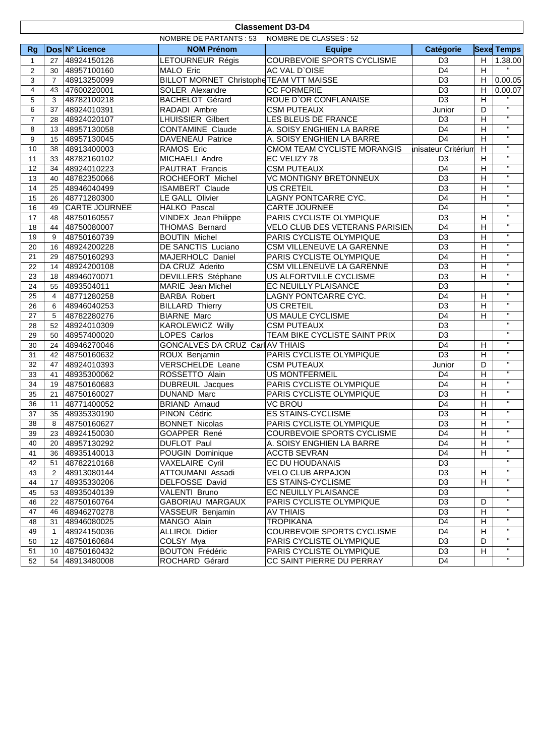|                | <b>Classement D3-D4</b>                          |                      |                                          |                                 |                     |                |                          |  |
|----------------|--------------------------------------------------|----------------------|------------------------------------------|---------------------------------|---------------------|----------------|--------------------------|--|
|                | NOMBRE DE PARTANTS : 53<br>NOMBRE DE CLASSES: 52 |                      |                                          |                                 |                     |                |                          |  |
| <b>Rg</b>      |                                                  | Dos N° Licence       | <b>NOM Prénom</b>                        | <b>Equipe</b>                   | Catégorie           |                | <b>Sexe Temps</b>        |  |
| 1              | 27                                               | 48924150126          | LETOURNEUR Régis                         | COURBEVOIE SPORTS CYCLISME      | D <sub>3</sub>      | H              | 1.38.00                  |  |
| $\overline{2}$ | 30                                               | 48957100160          | MALO Eric                                | AC VAL D'OISE                   | D <sub>4</sub>      | H              | $\overline{\phantom{a}}$ |  |
| 3              | $\overline{7}$                                   | 48913250099          | BILLOT MORNET Christophe TEAM VTT MAISSE |                                 | D <sub>3</sub>      | H              | 0.00.05                  |  |
| 4              | 43                                               | 47600220001          | SOLER Alexandre                          | <b>CC FORMERIE</b>              | D <sub>3</sub>      | H              | 0.00.07                  |  |
| 5              | 3                                                | 48782100218          | <b>BACHELOT Gérard</b>                   | ROUE D'OR CONFLANAISE           | $\overline{D3}$     | H              | $\mathbf{H}$             |  |
| 6              | 37                                               | 48924010391          | RADADI Ambre                             | <b>CSM PUTEAUX</b>              | Junior              | D              | $\overline{u}$           |  |
| $\overline{7}$ | 28                                               | 48924020107          | <b>LHUISSIER Gilbert</b>                 | LES BLEUS DE FRANCE             | D <sub>3</sub>      | H              | $\overline{u}$           |  |
| 8              | 13                                               | 48957130058          | <b>CONTAMINE Claude</b>                  | A. SOISY ENGHIEN LA BARRE       | D <sub>4</sub>      | H              | $\overline{\mathbf{u}}$  |  |
| 9              | 15                                               | 48957130045          | DAVENEAU Patrice                         | A. SOISY ENGHIEN LA BARRE       | D <sub>4</sub>      | H              | $\mathbf{H}$             |  |
| 10             | 38                                               | 48913400003          | RAMOS Eric                               | CMOM TEAM CYCLISTE MORANGIS     | Inisateur Critérium | H              | $\mathbf{H}$             |  |
| 11             | 33                                               | 48782160102          | MICHAELI Andre                           | EC VELIZY 78                    | D <sub>3</sub>      | H              | $\mathbf{H}$             |  |
| 12             | 34                                               | 48924010223          | PAUTRAT Francis                          | <b>CSM PUTEAUX</b>              | D <sub>4</sub>      | H              | $\overline{\mathbf{u}}$  |  |
| 13             | 40                                               | 48782350066          | ROCHEFORT Michel                         | <b>VC MONTIGNY BRETONNEUX</b>   | D <sub>3</sub>      | H              | $\mathbf{H}$             |  |
| 14             | 25                                               | 48946040499          | <b>ISAMBERT Claude</b>                   | <b>US CRETEIL</b>               | D <sub>3</sub>      | H              | $\mathbf{H}$             |  |
| 15             | 26                                               | 48771280300          | LE GALL Olivier                          | LAGNY PONTCARRE CYC.            | D <sub>4</sub>      | H              | $\mathbf{H}$             |  |
| 16             | 49                                               | <b>CARTE JOURNEE</b> | HALKO Pascal                             | CARTE JOURNEE                   | D <sub>4</sub>      |                | $\mathbf{H}$             |  |
| 17             | 48                                               | 48750160557          | <b>VINDEX Jean Philippe</b>              | PARIS CYCLISTE OLYMPIQUE        | $\overline{D3}$     | H              | $\mathbf{H}$             |  |
| 18             | 44                                               | 48750080007          | <b>THOMAS Bernard</b>                    | VELO CLUB DES VETERANS PARISIEN | D <sub>4</sub>      | $\mathsf H$    | $\mathbf{H}$             |  |
| 19             | 9                                                | 48750160739          | <b>BOUTIN Michel</b>                     | PARIS CYCLISTE OLYMPIQUE        | D <sub>3</sub>      | H              | $\mathbf{H}$             |  |
| 20             | 16                                               | 48924200228          | DE SANCTIS Luciano                       | CSM VILLENEUVE LA GARENNE       | D <sub>3</sub>      | H              | $\mathbf{H}$             |  |
| 21             | 29                                               | 48750160293          | MAJERHOLC Daniel                         | PARIS CYCLISTE OLYMPIQUE        | D <sub>4</sub>      | H              | $\mathbf{H}$             |  |
| 22             | 14                                               | 48924200108          | DA CRUZ Aderito                          | CSM VILLENEUVE LA GARENNE       | D <sub>3</sub>      | H              | $\mathbf{u}$             |  |
| 23             | 18                                               | 48946070071          | <b>DEVILLERS</b> Stéphane                | <b>US ALFORTVILLE CYCLISME</b>  | D <sub>3</sub>      | H              | $\overline{\mathbf{u}}$  |  |
| 24             | 55                                               | 4893504011           | MARIE Jean Michel                        | EC NEUILLY PLAISANCE            | D <sub>3</sub>      |                | $\mathbf{H}$             |  |
| 25             | 4                                                | 48771280258          | <b>BARBA Robert</b>                      | LAGNY PONTCARRE CYC.            | D <sub>4</sub>      | H              | $\mathbf{H}$             |  |
| 26             | 6                                                | 48946040253          | <b>BILLARD Thierry</b>                   | <b>US CRETEIL</b>               | D <sub>3</sub>      | $\mathsf H$    | $\mathbf{H}$             |  |
| 27             | 5                                                | 48782280276          | <b>BIARNE Marc</b>                       | US MAULE CYCLISME               | D <sub>4</sub>      | H              | $\overline{\mathbf{u}}$  |  |
| 28             | 52                                               | 48924010309          | <b>KAROLEWICZ</b> Willy                  | <b>CSM PUTEAUX</b>              | D <sub>3</sub>      |                | $\mathbf{H}$             |  |
| 29             | 50                                               | 48957400020          | LOPES Carlos                             | TEAM BIKE CYCLISTE SAINT PRIX   | D <sub>3</sub>      |                | $\mathbf{H}$             |  |
| 30             | 24                                               | 48946270046          | GONCALVES DA CRUZ Carl AV THIAIS         |                                 | D <sub>4</sub>      | H              | $\mathbf{u}$             |  |
| 31             | 42                                               | 48750160632          | ROUX Benjamin                            | PARIS CYCLISTE OLYMPIQUE        | D <sub>3</sub>      | H              | $\mathbf{H}$             |  |
| 32             | 47                                               | 48924010393          | VERSCHELDE Leane                         | <b>CSM PUTEAUX</b>              | Junior              | D              | $\mathbf{H}$             |  |
| 33             | 41                                               | 48935300062          | ROSSETTO Alain                           | <b>US MONTFERMEIL</b>           | D <sub>4</sub>      | H              | $\mathbf{H}$             |  |
| 34             | 19                                               | 48750160683          | <b>DUBREUIL Jacques</b>                  | PARIS CYCLISTE OLYMPIQUE        | D <sub>4</sub>      | H              | $\mathbf{H}$             |  |
| 35             | 21                                               | 48750160027          | DUNAND Marc                              | PARIS CYCLISTE OLYMPIQUE        | D <sub>3</sub>      | H              | $\mathbf{H}$             |  |
| 36             | 11                                               | 48771400052          | <b>BRIAND Arnaud</b>                     | <b>VC BROU</b>                  | D <sub>4</sub>      | H              | $\mathbf{H}$             |  |
| 37             | 35                                               | 48935330190          | PINON Cédric                             | <b>ES STAINS-CYCLISME</b>       | D <sub>3</sub>      | $\overline{H}$ | $\mathbf{H}$             |  |
| 38             | 8                                                | 48750160627          | <b>BONNET Nicolas</b>                    | PARIS CYCLISTE OLYMPIQUE        | $\overline{D3}$     | $\overline{H}$ | $\mathbf{H}$             |  |
| 39             |                                                  | 23 48924150030       | GOAPPER René                             | COURBEVOIE SPORTS CYCLISME      | D4                  | H              | $\mathbf{H}$             |  |
| 40             | 20                                               | 48957130292          | <b>DUFLOT Paul</b>                       | A. SOISY ENGHIEN LA BARRE       | D <sub>4</sub>      | H              | $\mathbf{H}$             |  |
| 41             | 36                                               | 48935140013          | POUGIN Dominique                         | <b>ACCTB SEVRAN</b>             | D4                  | H              | $\mathbf{H}$             |  |
| 42             | 51                                               | 48782210168          | <b>VAXELAIRE Cyril</b>                   | EC DU HOUDANAIS                 | D <sub>3</sub>      |                |                          |  |
| 43             | 2                                                | 48913080144          | ATTOUMANI Assadi                         | VELO CLUB ARPAJON               | D <sub>3</sub>      | H              | $\mathbf{H}$             |  |
| 44             | 17 <sup>2</sup>                                  | 48935330206          | DELFOSSE David                           | ES STAINS-CYCLISME              | D <sub>3</sub>      | H              | $\mathbf{H}$             |  |
| 45             | 53                                               | 48935040139          | VALENTI Bruno                            | EC NEUILLY PLAISANCE            | D <sub>3</sub>      |                | $\mathbf{H}$             |  |
| 46             | 22                                               | 48750160764          | <b>GABORIAU MARGAUX</b>                  | PARIS CYCLISTE OLYMPIQUE        | D <sub>3</sub>      | D              | $\mathbf{H}$             |  |
| 47             | 46                                               | 48946270278          | VASSEUR Benjamin                         | <b>AV THIAIS</b>                | D <sub>3</sub>      | H              | $\mathbf{H}$             |  |
| 48             | 31                                               | 48946080025          | MANGO Alain                              | <b>TROPIKANA</b>                | D4                  | H              | $\mathbf{H}$             |  |
| 49             | 1                                                | 48924150036          | ALLIROL Didier                           | COURBEVOIE SPORTS CYCLISME      | D <sub>4</sub>      | H              | $\mathbf{H}$             |  |
| 50             |                                                  | 12 48750160684       | COLSY Mya                                | PARIS CYCLISTE OLYMPIQUE        | D <sub>3</sub>      | D              | $\mathbf{H}$             |  |
| 51             |                                                  | 10 48750160432       | <b>BOUTON Frédéric</b>                   | PARIS CYCLISTE OLYMPIQUE        | D <sub>3</sub>      | H              | $\mathbf{H}$             |  |
| 52             |                                                  | 54 48913480008       | ROCHARD Gérard                           | CC SAINT PIERRE DU PERRAY       | D4                  |                | $\mathbf{H}$             |  |